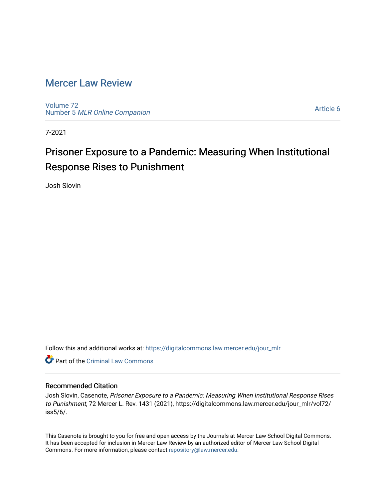# [Mercer Law Review](https://digitalcommons.law.mercer.edu/jour_mlr)

[Volume 72](https://digitalcommons.law.mercer.edu/jour_mlr/vol72) Number 5 [MLR Online Companion](https://digitalcommons.law.mercer.edu/jour_mlr/vol72/iss5) 

[Article 6](https://digitalcommons.law.mercer.edu/jour_mlr/vol72/iss5/6) 

7-2021

# Prisoner Exposure to a Pandemic: Measuring When Institutional Response Rises to Punishment

Josh Slovin

Follow this and additional works at: [https://digitalcommons.law.mercer.edu/jour\\_mlr](https://digitalcommons.law.mercer.edu/jour_mlr?utm_source=digitalcommons.law.mercer.edu%2Fjour_mlr%2Fvol72%2Fiss5%2F6&utm_medium=PDF&utm_campaign=PDFCoverPages)

**C** Part of the Criminal Law Commons

# Recommended Citation

Josh Slovin, Casenote, Prisoner Exposure to a Pandemic: Measuring When Institutional Response Rises to Punishment, 72 Mercer L. Rev. 1431 (2021), https://digitalcommons.law.mercer.edu/jour\_mlr/vol72/ iss5/6/.

This Casenote is brought to you for free and open access by the Journals at Mercer Law School Digital Commons. It has been accepted for inclusion in Mercer Law Review by an authorized editor of Mercer Law School Digital Commons. For more information, please contact [repository@law.mercer.edu.](mailto:repository@law.mercer.edu)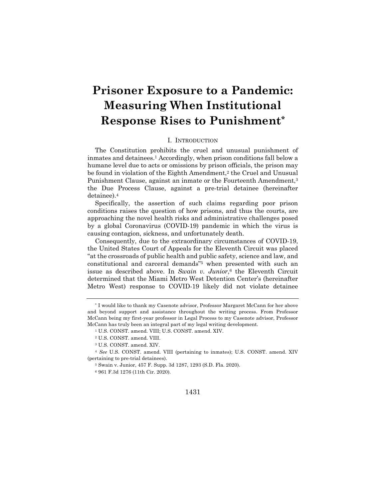# **Prisoner Exposure to a Pandemic: Measuring When Institutional Response Rises to Punishment\***

## I. INTRODUCTION

The Constitution prohibits the cruel and unusual punishment of inmates and detainees.1 Accordingly, when prison conditions fall below a humane level due to acts or omissions by prison officials, the prison may be found in violation of the Eighth Amendment,<sup>2</sup> the Cruel and Unusual Punishment Clause, against an inmate or the Fourteenth Amendment,<sup>3</sup> the Due Process Clause, against a pre-trial detainee (hereinafter detainee).4

Specifically, the assertion of such claims regarding poor prison conditions raises the question of how prisons, and thus the courts, are approaching the novel health risks and administrative challenges posed by a global Coronavirus (COVID-19) pandemic in which the virus is causing contagion, sickness, and unfortunately death.

Consequently, due to the extraordinary circumstances of COVID-19, the United States Court of Appeals for the Eleventh Circuit was placed "at the crossroads of public health and public safety, science and law, and constitutional and carceral demands"5 when presented with such an issue as described above. In *Swain v. Junior*,6 the Eleventh Circuit determined that the Miami Metro West Detention Center's (hereinafter Metro West) response to COVID-19 likely did not violate detainee

<sup>5</sup> Swain v. Junior, 457 F. Supp. 3d 1287, 1293 (S.D. Fla. 2020).

<sup>6</sup> 961 F.3d 1276 (11th Cir. 2020).

#### 1431

<sup>\*</sup> I would like to thank my Casenote advisor, Professor Margaret McCann for her above and beyond support and assistance throughout the writing process. From Professor McCann being my first-year professor in Legal Process to my Casenote advisor, Professor McCann has truly been an integral part of my legal writing development.

<sup>1</sup> U.S. CONST. amend. VIII; U.S. CONST. amend. XIV.

<sup>2</sup> U.S. CONST. amend. VIII.

<sup>3</sup> U.S. CONST. amend. XIV.

<sup>4</sup> *See* U.S. CONST. amend. VIII (pertaining to inmates); U.S. CONST. amend. XIV (pertaining to pre-trial detainees).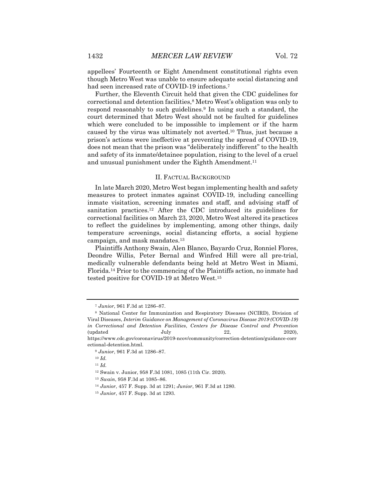appellees' Fourteenth or Eight Amendment constitutional rights even though Metro West was unable to ensure adequate social distancing and had seen increased rate of COVID-19 infections.7

Further, the Eleventh Circuit held that given the CDC guidelines for correctional and detention facilities,8 Metro West's obligation was only to respond reasonably to such guidelines.9 In using such a standard, the court determined that Metro West should not be faulted for guidelines which were concluded to be impossible to implement or if the harm caused by the virus was ultimately not averted.10 Thus, just because a prison's actions were ineffective at preventing the spread of COVID-19, does not mean that the prison was "deliberately indifferent" to the health and safety of its inmate/detainee population, rising to the level of a cruel and unusual punishment under the Eighth Amendment.<sup>11</sup>

#### II. FACTUAL BACKGROUND

In late March 2020, Metro West began implementing health and safety measures to protect inmates against COVID-19, including cancelling inmate visitation, screening inmates and staff, and advising staff of sanitation practices.12 After the CDC introduced its guidelines for correctional facilities on March 23, 2020, Metro West altered its practices to reflect the guidelines by implementing, among other things, daily temperature screenings, social distancing efforts, a social hygiene campaign, and mask mandates.13

Plaintiffs Anthony Swain, Alen Blanco, Bayardo Cruz, Ronniel Flores, Deondre Willis, Peter Bernal and Winfred Hill were all pre-trial, medically vulnerable defendants being held at Metro West in Miami, Florida.14 Prior to the commencing of the Plaintiffs action, no inmate had tested positive for COVID-19 at Metro West.15

<sup>7</sup> *Junior*, 961 F.3d at 1286–87.

<sup>8</sup> National Center for Immunization and Respiratory Diseases (NCIRD), Division of Viral Diseases, *Interim Guidance on Management of Coronavirus Disease 2019 (COVID-19) in Correctional and Detention Facilities*, *Centers for Disease Control and Prevention*  $\text{(updated} \quad \text{July} \quad \text{22,} \quad \text{2020},$ https://www.cdc.gov/coronavirus/2019-ncov/community/correction-detention/guidance-corr ectional-detention.html.

<sup>9</sup> *Junior*, 961 F.3d at 1286–87.

<sup>10</sup> *Id.*

<sup>11</sup> *Id.*

<sup>12</sup> Swain v. Junior, 958 F.3d 1081, 1085 (11th Cir. 2020).

<sup>13</sup> *Swain*, 958 F.3d at 1085–86.

<sup>14</sup> *Junior*, 457 F. Supp. 3d at 1291; *Junior*, 961 F.3d at 1280.

<sup>15</sup> *Junior*, 457 F. Supp. 3d at 1293.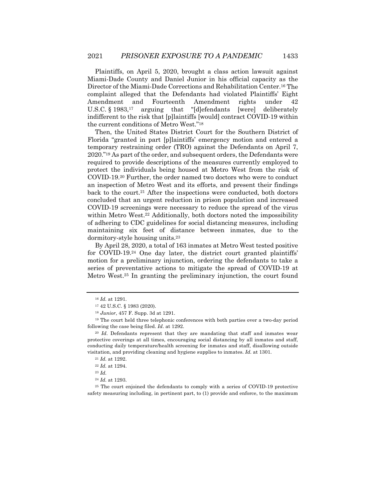Plaintiffs, on April 5, 2020, brought a class action lawsuit against Miami-Dade County and Daniel Junior in his official capacity as the Director of the Miami-Dade Corrections and Rehabilitation Center.16 The complaint alleged that the Defendants had violated Plaintiffs' Eight Amendment and Fourteenth Amendment rights under 42 U.S.C. § 1983,17 arguing that "[d]efendants [were] deliberately indifferent to the risk that [p]laintiffs [would] contract COVID-19 within the current conditions of Metro West."18

Then, the United States District Court for the Southern District of Florida "granted in part [p]laintiffs' emergency motion and entered a temporary restraining order (TRO) against the Defendants on April 7, 2020."19 As part of the order, and subsequent orders, the Defendants were required to provide descriptions of the measures currently employed to protect the individuals being housed at Metro West from the risk of COVID-19.20 Further, the order named two doctors who were to conduct an inspection of Metro West and its efforts, and present their findings back to the court.21 After the inspections were conducted, both doctors concluded that an urgent reduction in prison population and increased COVID-19 screenings were necessary to reduce the spread of the virus within Metro West.<sup>22</sup> Additionally, both doctors noted the impossibility of adhering to CDC guidelines for social distancing measures, including maintaining six feet of distance between inmates, due to the dormitory-style housing units.23

By April 28, 2020, a total of 163 inmates at Metro West tested positive for COVID-19.24 One day later, the district court granted plaintiffs' motion for a preliminary injunction, ordering the defendants to take a series of preventative actions to mitigate the spread of COVID-19 at Metro West.25 In granting the preliminary injunction, the court found

<sup>16</sup> *Id.* at 1291.

<sup>17</sup> 42 U.S.C. § 1983 (2020).

<sup>18</sup> *Junior*, 457 F. Supp. 3d at 1291.

<sup>&</sup>lt;sup>19</sup> The court held three telephonic conferences with both parties over a two-day period following the case being filed. *Id*. at 1292.

<sup>20</sup> *Id*. Defendants represent that they are mandating that staff and inmates wear protective coverings at all times, encouraging social distancing by all inmates and staff, conducting daily temperature/health screening for inmates and staff, disallowing outside visitation, and providing cleaning and hygiene supplies to inmates. *Id.* at 1301.

<sup>21</sup> *Id.* at 1292.

<sup>22</sup> *Id.* at 1294.

<sup>23</sup> *Id.*

<sup>24</sup> *Id.* at 1293.

<sup>25</sup> The court enjoined the defendants to comply with a series of COVID-19 protective safety measuring including, in pertinent part, to (1) provide and enforce, to the maximum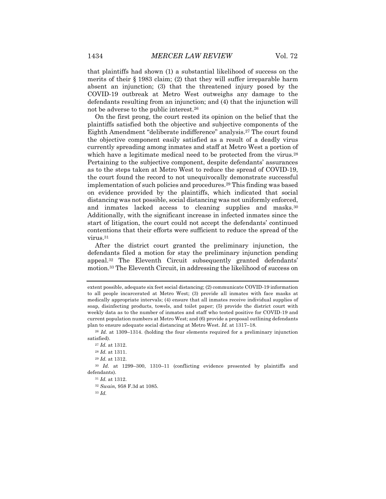that plaintiffs had shown (1) a substantial likelihood of success on the merits of their § 1983 claim; (2) that they will suffer irreparable harm absent an injunction; (3) that the threatened injury posed by the COVID-19 outbreak at Metro West outweighs any damage to the defendants resulting from an injunction; and (4) that the injunction will not be adverse to the public interest.26

On the first prong, the court rested its opinion on the belief that the plaintiffs satisfied both the objective and subjective components of the Eighth Amendment "deliberate indifference" analysis.27 The court found the objective component easily satisfied as a result of a deadly virus currently spreading among inmates and staff at Metro West a portion of which have a legitimate medical need to be protected from the virus.<sup>28</sup> Pertaining to the subjective component, despite defendants' assurances as to the steps taken at Metro West to reduce the spread of COVID-19, the court found the record to not unequivocally demonstrate successful implementation of such policies and procedures.29 This finding was based on evidence provided by the plaintiffs, which indicated that social distancing was not possible, social distancing was not uniformly enforced, and inmates lacked access to cleaning supplies and masks.30 Additionally, with the significant increase in infected inmates since the start of litigation, the court could not accept the defendants' continued contentions that their efforts were sufficient to reduce the spread of the virus.31

After the district court granted the preliminary injunction, the defendants filed a motion for stay the preliminary injunction pending appeal.32 The Eleventh Circuit subsequently granted defendants' motion.33 The Eleventh Circuit, in addressing the likelihood of success on

extent possible, adequate six feet social distancing; (2) communicate COVID-19 information to all people incarcerated at Metro West; (3) provide all inmates with face masks at medically appropriate intervals; (4) ensure that all inmates receive individual supplies of soap, disinfecting products, towels, and toilet paper; (5) provide the district court with weekly data as to the number of inmates and staff who tested positive for COVID-19 and current population numbers at Metro West; and (6) provide a proposal outlining defendants plan to ensure adequate social distancing at Metro West. *Id.* at 1317–18.

<sup>26</sup> *Id.* at 1309–1314. (holding the four elements required for a preliminary injunction satisfied).

<sup>27</sup> *Id.* at 1312.

<sup>28</sup> *Id.* at 1311.

<sup>29</sup> *Id.* at 1312.

<sup>30</sup> *Id.* at 1299–300, 1310–11 (conflicting evidence presented by plaintiffs and defendants).

<sup>31</sup> *Id.* at 1312.

<sup>32</sup> *Swain,* 958 F.3d at 1085.

<sup>33</sup> *Id.*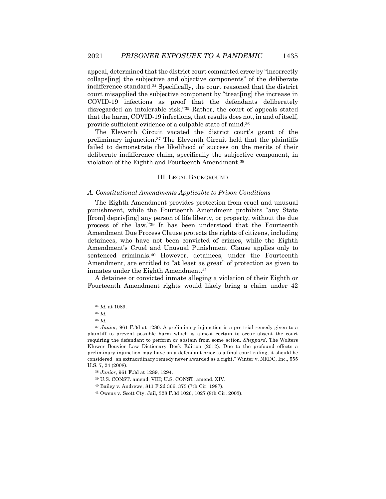appeal, determined that the district court committed error by "incorrectly collaps[ing] the subjective and objective components" of the deliberate indifference standard.34 Specifically, the court reasoned that the district court misapplied the subjective component by "treat[ing] the increase in COVID-19 infections as proof that the defendants deliberately disregarded an intolerable risk."35 Rather, the court of appeals stated that the harm, COVID-19 infections, that results does not, in and of itself, provide sufficient evidence of a culpable state of mind.36

The Eleventh Circuit vacated the district court's grant of the preliminary injunction.37 The Eleventh Circuit held that the plaintiffs failed to demonstrate the likelihood of success on the merits of their deliberate indifference claim, specifically the subjective component, in violation of the Eighth and Fourteenth Amendment.38

#### III. LEGAL BACKGROUND

#### *A. Constitutional Amendments Applicable to Prison Conditions*

The Eighth Amendment provides protection from cruel and unusual punishment, while the Fourteenth Amendment prohibits "any State [from] depriv[ing] any person of life liberty, or property, without the due process of the law."39 It has been understood that the Fourteenth Amendment Due Process Clause protects the rights of citizens, including detainees, who have not been convicted of crimes, while the Eighth Amendment's Cruel and Unusual Punishment Clause applies only to sentenced criminals.40 However, detainees, under the Fourteenth Amendment, are entitled to "at least as great" of protection as given to inmates under the Eighth Amendment.<sup>41</sup>

A detainee or convicted inmate alleging a violation of their Eighth or Fourteenth Amendment rights would likely bring a claim under 42

<sup>34</sup> *Id.* at 1089.

<sup>35</sup> *Id.* 

<sup>36</sup> *Id.*

<sup>37</sup> *Junior*, 961 F.3d at 1280. A preliminary injunction is a pre-trial remedy given to a plaintiff to prevent possible harm which is almost certain to occur absent the court requiring the defendant to perform or abstain from some action**.** *Sheppard*, The Wolters Kluwer Bouvier Law Dictionary Desk Edition (2012). Due to the profound effects a preliminary injunction may have on a defendant prior to a final court ruling, it should be considered "an extraordinary remedy never awarded as a right." Winter v. NRDC, Inc., 555 U.S. 7, 24 (2008).

<sup>38</sup> *Junior*, 961 F.3d at 1289, 1294.

<sup>39</sup> U.S. CONST. amend. VIII; U.S. CONST. amend. XIV.

<sup>40</sup> Bailey v. Andrews, 811 F.2d 366, 373 (7th Cir. 1987).

<sup>41</sup> Owens v. Scott Cty. Jail, 328 F.3d 1026, 1027 (8th Cir. 2003).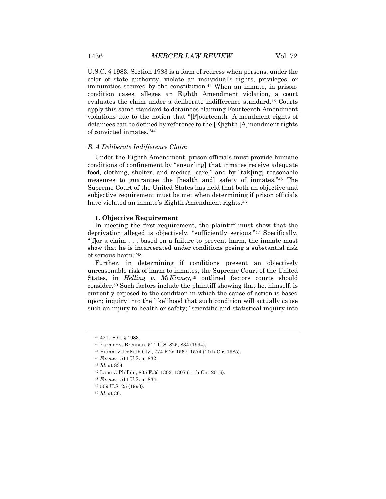U.S.C. § 1983. Section 1983 is a form of redress when persons, under the color of state authority, violate an individual's rights, privileges, or immunities secured by the constitution.<sup>42</sup> When an inmate, in prisoncondition cases, alleges an Eighth Amendment violation, a court evaluates the claim under a deliberate indifference standard.43 Courts apply this same standard to detainees claiming Fourteenth Amendment violations due to the notion that "[F]ourteenth [A]mendment rights of detainees can be defined by reference to the [E]ighth [A]mendment rights of convicted inmates."44

#### *B. A Deliberate Indifference Claim*

Under the Eighth Amendment, prison officials must provide humane conditions of confinement by "ensur[ing] that inmates receive adequate food, clothing, shelter, and medical care," and by "tak[ing] reasonable measures to guarantee the [health and] safety of inmates."45 The Supreme Court of the United States has held that both an objective and subjective requirement must be met when determining if prison officials have violated an inmate's Eighth Amendment rights.<sup>46</sup>

#### **1. Objective Requirement**

In meeting the first requirement, the plaintiff must show that the deprivation alleged is objectively, "sufficiently serious."47 Specifically, "[f]or a claim . . . based on a failure to prevent harm, the inmate must show that he is incarcerated under conditions posing a substantial risk of serious harm."48

Further, in determining if conditions present an objectively unreasonable risk of harm to inmates, the Supreme Court of the United States, in *Helling v. McKinney,*<sup>49</sup> outlined factors courts should consider.50 Such factors include the plaintiff showing that he, himself, is currently exposed to the condition in which the cause of action is based upon; inquiry into the likelihood that such condition will actually cause such an injury to health or safety; "scientific and statistical inquiry into

<sup>42</sup> 42 U.S.C. § 1983.

<sup>43</sup> Farmer v. Brennan, 511 U.S. 825, 834 (1994).

<sup>44</sup> Hamm v. DeKalb Cty., 774 F.2d 1567, 1574 (11th Cir. 1985).

<sup>45</sup> *Farmer*, 511 U.S. at 832.

<sup>46</sup> *Id.* at 834.

<sup>47</sup> Lane v. Philbin, 835 F.3d 1302, 1307 (11th Cir. 2016).

<sup>48</sup> *Farmer*, 511 U.S. at 834.

<sup>49</sup> 509 U.S. 25 (1993).

<sup>50</sup> *Id*. at 36.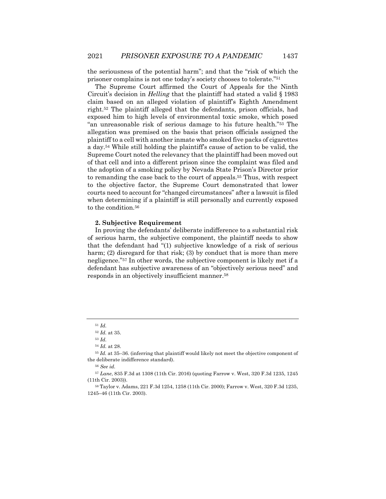the seriousness of the potential harm"; and that the "risk of which the prisoner complains is not one today's society chooses to tolerate."51

The Supreme Court affirmed the Court of Appeals for the Ninth Circuit's decision in *Helling* that the plaintiff had stated a valid § 1983 claim based on an alleged violation of plaintiff's Eighth Amendment right.52 The plaintiff alleged that the defendants, prison officials, had exposed him to high levels of environmental toxic smoke, which posed "an unreasonable risk of serious damage to his future health."53 The allegation was premised on the basis that prison officials assigned the plaintiff to a cell with another inmate who smoked five packs of cigarettes a day.54 While still holding the plaintiff's cause of action to be valid, the Supreme Court noted the relevancy that the plaintiff had been moved out of that cell and into a different prison since the complaint was filed and the adoption of a smoking policy by Nevada State Prison's Director prior to remanding the case back to the court of appeals.55 Thus, with respect to the objective factor, the Supreme Court demonstrated that lower courts need to account for "changed circumstances" after a lawsuit is filed when determining if a plaintiff is still personally and currently exposed to the condition.<sup>56</sup>

#### **2. Subjective Requirement**

In proving the defendants' deliberate indifference to a substantial risk of serious harm, the subjective component, the plaintiff needs to show that the defendant had "(1) subjective knowledge of a risk of serious harm; (2) disregard for that risk; (3) by conduct that is more than mere negligence."57 In other words, the subjective component is likely met if a defendant has subjective awareness of an "objectively serious need" and responds in an objectively insufficient manner.58

<sup>55</sup> *Id.* at 35–36. (inferring that plaintiff would likely not meet the objective component of the deliberate indifference standard).

<sup>51</sup> *Id.*

<sup>52</sup> *Id.* at 35.

<sup>53</sup> *Id.*

<sup>54</sup> *Id.* at 28.

<sup>56</sup> *See id.*

<sup>57</sup> *Lane*, 835 F.3d at 1308 (11th Cir. 2016) (quoting Farrow v. West, 320 F.3d 1235, 1245 (11th Cir. 2003)).

<sup>58</sup> Taylor v. Adams, 221 F.3d 1254, 1258 (11th Cir. 2000); Farrow v. West, 320 F.3d 1235, 1245–46 (11th Cir. 2003).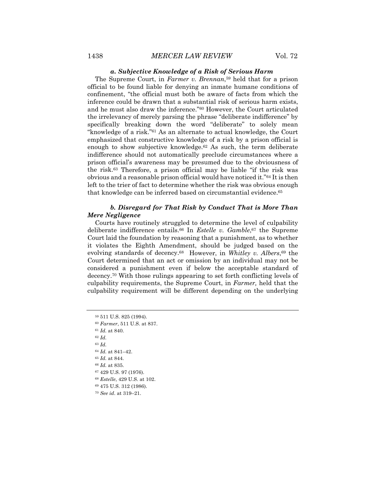#### *a. Subjective Knowledge of a Risk of Serious Harm*

The Supreme Court, in *Farmer v. Brennan*,59 held that for a prison official to be found liable for denying an inmate humane conditions of confinement, "the official must both be aware of facts from which the inference could be drawn that a substantial risk of serious harm exists, and he must also draw the inference."60 However, the Court articulated the irrelevancy of merely parsing the phrase "deliberate indifference" by specifically breaking down the word "deliberate" to solely mean "knowledge of a risk."61 As an alternate to actual knowledge, the Court emphasized that constructive knowledge of a risk by a prison official is enough to show subjective knowledge.<sup>62</sup> As such, the term deliberate indifference should not automatically preclude circumstances where a prison official's awareness may be presumed due to the obviousness of the risk.63 Therefore, a prison official may be liable "if the risk was obvious and a reasonable prison official would have noticed it."64 It is then left to the trier of fact to determine whether the risk was obvious enough that knowledge can be inferred based on circumstantial evidence.65

## *b. Disregard for That Risk by Conduct That is More Than Mere Negligence*

Courts have routinely struggled to determine the level of culpability deliberate indifference entails.66 In *Estelle v. Gamble*,67 the Supreme Court laid the foundation by reasoning that a punishment, as to whether it violates the Eighth Amendment, should be judged based on the evolving standards of decency.<sup>68</sup> However, in *Whitley v. Albers*,<sup>69</sup> the Court determined that an act or omission by an individual may not be considered a punishment even if below the acceptable standard of decency.70 With those rulings appearing to set forth conflicting levels of culpability requirements, the Supreme Court, in *Farmer,* held that the culpability requirement will be different depending on the underlying

 511 U.S. 825 (1994). *Farmer*, 511 U.S. at 837. *Id.* at 840. <sup>62</sup> *Id.* <sup>63</sup> *Id. Id.* at 841–42. *Id.* at 844. *Id.* at 835. 429 U.S. 97 (1976). *Estelle*, 429 U.S. at 102. 475 U.S. 312 (1986). *See id*. at 319–21.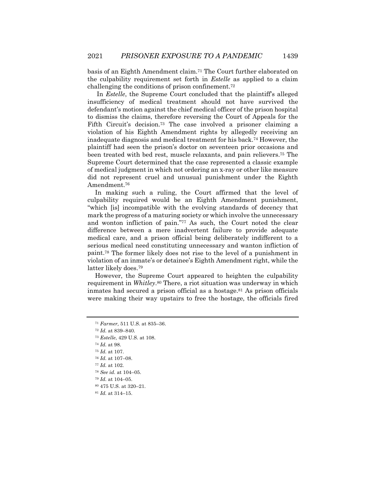basis of an Eighth Amendment claim.71 The Court further elaborated on the culpability requirement set forth in *Estelle* as applied to a claim challenging the conditions of prison confinement.72

In *Estelle*, the Supreme Court concluded that the plaintiff's alleged insufficiency of medical treatment should not have survived the defendant's motion against the chief medical officer of the prison hospital to dismiss the claims, therefore reversing the Court of Appeals for the Fifth Circuit's decision.73 The case involved a prisoner claiming a violation of his Eighth Amendment rights by allegedly receiving an inadequate diagnosis and medical treatment for his back.74 However, the plaintiff had seen the prison's doctor on seventeen prior occasions and been treated with bed rest, muscle relaxants, and pain relievers.75 The Supreme Court determined that the case represented a classic example of medical judgment in which not ordering an x-ray or other like measure did not represent cruel and unusual punishment under the Eighth Amendment.76

In making such a ruling, the Court affirmed that the level of culpability required would be an Eighth Amendment punishment, "which [is] incompatible with the evolving standards of decency that mark the progress of a maturing society or which involve the unnecessary and wonton infliction of pain."77 As such, the Court noted the clear difference between a mere inadvertent failure to provide adequate medical care, and a prison official being deliberately indifferent to a serious medical need constituting unnecessary and wanton infliction of paint.78 The former likely does not rise to the level of a punishment in violation of an inmate's or detainee's Eighth Amendment right, while the latter likely does.79

However, the Supreme Court appeared to heighten the culpability requirement in *Whitley*.80 There, a riot situation was underway in which inmates had secured a prison official as a hostage.81 As prison officials were making their way upstairs to free the hostage, the officials fired

<sup>77</sup> *Id.* at 102.

<sup>71</sup> *Farmer,* 511 U.S. at 835–36.

<sup>72</sup> *Id.* at 839–840.

<sup>73</sup> *Estelle*, 429 U.S. at 108.

<sup>74</sup> *Id.* at 98.

<sup>75</sup> *Id.* at 107.

<sup>76</sup> *Id.* at 107–08.

<sup>78</sup> *See id.* at 104–05.

<sup>79</sup> *Id.* at 104–05.

<sup>80</sup> 475 U.S. at 320–21.

<sup>81</sup> *Id.* at 314–15.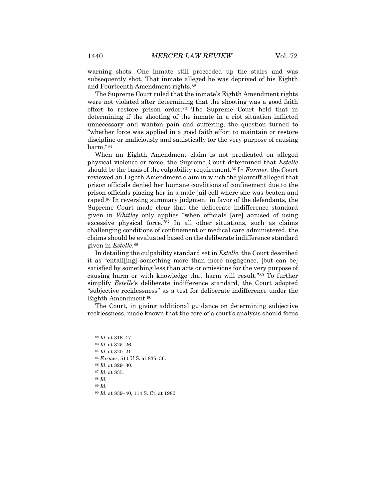warning shots. One inmate still proceeded up the stairs and was subsequently shot. That inmate alleged he was deprived of his Eighth and Fourteenth Amendment rights.82

The Supreme Court ruled that the inmate's Eighth Amendment rights were not violated after determining that the shooting was a good faith effort to restore prison order.83 The Supreme Court held that in determining if the shooting of the inmate in a riot situation inflicted unnecessary and wanton pain and suffering, the question turned to "whether force was applied in a good faith effort to maintain or restore discipline or maliciously and sadistically for the very purpose of causing harm."84

When an Eighth Amendment claim is not predicated on alleged physical violence or force, the Supreme Court determined that *Estelle* should be the basis of the culpability requirement.85 In *Farmer*, the Court reviewed an Eighth Amendment claim in which the plaintiff alleged that prison officials denied her humane conditions of confinement due to the prison officials placing her in a male jail cell where she was beaten and raped.86 In reversing summary judgment in favor of the defendants, the Supreme Court made clear that the deliberate indifference standard given in *Whitley* only applies "when officials [are] accused of using excessive physical force."87 In all other situations, such as claims challenging conditions of confinement or medical care administered, the claims should be evaluated based on the deliberate indifference standard given in *Estelle*.88

In detailing the culpability standard set in *Estelle*, the Court described it as "entail[ing] something more than mere negligence, [but can be] satisfied by something less than acts or omissions for the very purpose of causing harm or with knowledge that harm will result."89 To further simplify *Estelle*'s deliberate indifference standard, the Court adopted "subjective recklessness" as a test for deliberate indifference under the Eighth Amendment.90

The Court, in giving additional guidance on determining subjective recklessness, made known that the core of a court's analysis should focus

<sup>84</sup> *Id.* at 320–21.

- <sup>85</sup> *Farmer*, 511 U.S. at 835–36.
- <sup>86</sup> *Id.* at 829–30.
- <sup>87</sup> *Id.* at 835.
- <sup>88</sup> *Id.*
- <sup>89</sup> *Id.*

<sup>82</sup> *Id.* at 316–17.

<sup>83</sup> *Id.* at 325–26.

<sup>90</sup> *Id.* at 839–40, 114 S. Ct. at 1980.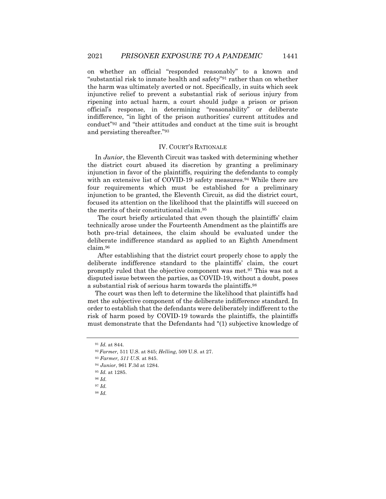on whether an official "responded reasonably" to a known and "substantial risk to inmate health and safety"91 rather than on whether the harm was ultimately averted or not. Specifically, in suits which seek injunctive relief to prevent a substantial risk of serious injury from ripening into actual harm, a court should judge a prison or prison official's response, in determining "reasonability" or deliberate indifference, "in light of the prison authorities' current attitudes and conduct"92 and "their attitudes and conduct at the time suit is brought and persisting thereafter."93

#### IV. COURT'S RATIONALE

In *Junior*, the Eleventh Circuit was tasked with determining whether the district court abused its discretion by granting a preliminary injunction in favor of the plaintiffs, requiring the defendants to comply with an extensive list of COVID-19 safety measures.<sup>94</sup> While there are four requirements which must be established for a preliminary injunction to be granted, the Eleventh Circuit, as did the district court, focused its attention on the likelihood that the plaintiffs will succeed on the merits of their constitutional claim.95

The court briefly articulated that even though the plaintiffs' claim technically arose under the Fourteenth Amendment as the plaintiffs are both pre-trial detainees, the claim should be evaluated under the deliberate indifference standard as applied to an Eighth Amendment claim.96

After establishing that the district court properly chose to apply the deliberate indifference standard to the plaintiffs' claim, the court promptly ruled that the objective component was met.97 This was not a disputed issue between the parties, as COVID-19, without a doubt, poses a substantial risk of serious harm towards the plaintiffs.98

The court was then left to determine the likelihood that plaintiffs had met the subjective component of the deliberate indifference standard. In order to establish that the defendants were deliberately indifferent to the risk of harm posed by COVID-19 towards the plaintiffs, the plaintiffs must demonstrate that the Defendants had "(1) subjective knowledge of

<sup>91</sup> *Id.* at 844.

<sup>92</sup> *Farmer,* 511 U.S. at 845; *Helling*, 509 U.S. at 27.

<sup>93</sup> *Farmer, 511 U.S.* at 845.

<sup>94</sup> *Junior*, 961 F.3d at 1284.

<sup>95</sup> *Id.* at 1285.

<sup>96</sup> *Id.*

<sup>97</sup> *Id.*

<sup>98</sup> *Id.*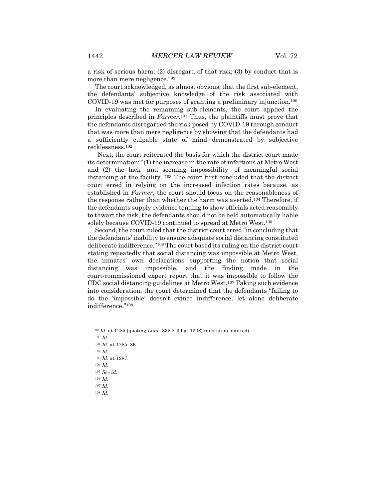a risk of serious harm; (2) disregard of that risk; (3) by conduct that is more than mere negligence."99

The court acknowledged, as almost obvious, that the first sub-element, the defendants' subjective knowledge of the risk associated with COVID-19 was met for purposes of granting a preliminary injunction.100

In evaluating the remaining sub-elements, the court applied the principles described in *Farmer*.101 Thus, the plaintiffs must prove that the defendants disregarded the risk posed by COVID-19 through conduct that was more than mere negligence by showing that the defendants had a sufficiently culpable state of mind demonstrated by subjective recklessness.102

Next, the court reiterated the basis for which the district court made its determination: "(1) the increase in the rate of infections at Metro West and (2) the lack—and seeming impossibility—of meaningful social distancing at the facility."103 The court first concluded that the district court erred in relying on the increased infection rates because, as established in *Farmer*, the court should focus on the reasonableness of the response rather than whether the harm was averted.104 Therefore, if the defendants supply evidence tending to show officials acted reasonably to thwart the risk, the defendants should not be held automatically liable solely because COVID-19 continued to spread at Metro West.105

Second, the court ruled that the district court erred "in concluding that the defendants' inability to ensure adequate social distancing constituted deliberate indifference."106 The court based its ruling on the district court stating repeatedly that social distancing was impossible at Metro West, the inmates' own declarations supporting the notion that social distancing was impossible, and the finding made in the court-commissioned expert report that it was impossible to follow the CDC social distancing guidelines at Metro West.107 Taking such evidence into consideration, the court determined that the defendants "failing to do the 'impossible' doesn't evince indifference, let alone deliberate indifference."108

<sup>101</sup> *Id.* at 1285–86.

<sup>106</sup> *Id.*

<sup>99</sup> *Id.* at 1285 (quoting *Lane*, 835 F.3d at 1308) (quotation omitted).

<sup>100</sup> *Id.*

<sup>102</sup> *Id.*

<sup>103</sup> *Id.* at 1287.

<sup>104</sup> *Id.*

<sup>105</sup> *See id.*

*<sup>107</sup> Id.* 

<sup>108</sup> *Id.*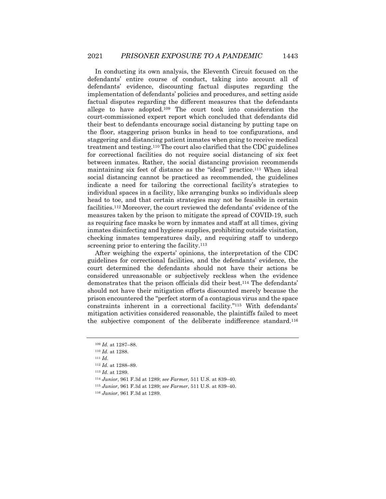In conducting its own analysis, the Eleventh Circuit focused on the defendants' entire course of conduct, taking into account all of defendants' evidence, discounting factual disputes regarding the implementation of defendants' policies and procedures, and setting aside factual disputes regarding the different measures that the defendants allege to have adopted.109 The court took into consideration the court-commissioned expert report which concluded that defendants did their best to defendants encourage social distancing by putting tape on the floor, staggering prison bunks in head to toe configurations, and staggering and distancing patient inmates when going to receive medical treatment and testing.110 The court also clarified that the CDC guidelines for correctional facilities do not require social distancing of six feet between inmates. Rather, the social distancing provision recommends maintaining six feet of distance as the "ideal" practice.111 When ideal social distancing cannot be practiced as recommended, the guidelines indicate a need for tailoring the correctional facility's strategies to individual spaces in a facility, like arranging bunks so individuals sleep head to toe, and that certain strategies may not be feasible in certain facilities.112 Moreover, the court reviewed the defendants' evidence of the measures taken by the prison to mitigate the spread of COVID-19, such as requiring face masks be worn by inmates and staff at all times, giving inmates disinfecting and hygiene supplies, prohibiting outside visitation, checking inmates temperatures daily, and requiring staff to undergo screening prior to entering the facility.<sup>113</sup>

After weighing the experts' opinions, the interpretation of the CDC guidelines for correctional facilities, and the defendants' evidence, the court determined the defendants should not have their actions be considered unreasonable or subjectively reckless when the evidence demonstrates that the prison officials did their best.114 The defendants' should not have their mitigation efforts discounted merely because the prison encountered the "perfect storm of a contagious virus and the space constraints inherent in a correctional facility."115 With defendants' mitigation activities considered reasonable, the plaintiffs failed to meet the subjective component of the deliberate indifference standard.116

<sup>109</sup> *Id.* at 1287–88.

<sup>110</sup> *Id.* at 1288.

<sup>111</sup> *Id.*

<sup>112</sup> *Id.* at 1288–89.

<sup>113</sup> *Id.* at 1289.

<sup>114</sup> *Junior*, 961 F.3d at 1289; *see Farmer,* 511 U.S. at 839–40*.*

<sup>115</sup> *Junior*, 961 F.3d at 1289; *see Farmer*, 511 U.S. at 839–40.

<sup>116</sup> *Junior*, 961 F.3d at 1289.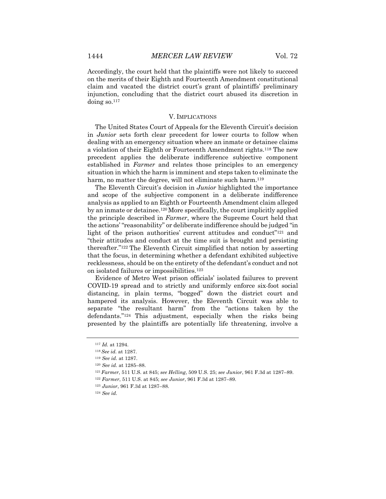Accordingly, the court held that the plaintiffs were not likely to succeed on the merits of their Eighth and Fourteenth Amendment constitutional claim and vacated the district court's grant of plaintiffs' preliminary injunction, concluding that the district court abused its discretion in doing so.117

#### V. IMPLICATIONS

The United States Court of Appeals for the Eleventh Circuit's decision in *Junior* sets forth clear precedent for lower courts to follow when dealing with an emergency situation where an inmate or detainee claims a violation of their Eighth or Fourteenth Amendment rights.118 The new precedent applies the deliberate indifference subjective component established in *Farmer* and relates those principles to an emergency situation in which the harm is imminent and steps taken to eliminate the harm, no matter the degree, will not eliminate such harm.<sup>119</sup>

The Eleventh Circuit's decision in *Junior* highlighted the importance and scope of the subjective component in a deliberate indifference analysis as applied to an Eighth or Fourteenth Amendment claim alleged by an inmate or detainee.120More specifically, the court implicitly applied the principle described in *Farmer*, where the Supreme Court held that the actions' "reasonability" or deliberate indifference should be judged "in light of the prison authorities' current attitudes and conduct<sup>"121</sup> and "their attitudes and conduct at the time suit is brought and persisting thereafter."122 The Eleventh Circuit simplified that notion by asserting that the focus, in determining whether a defendant exhibited subjective recklessness, should be on the entirety of the defendant's conduct and not on isolated failures or impossibilities.123

Evidence of Metro West prison officials' isolated failures to prevent COVID-19 spread and to strictly and uniformly enforce six-foot social distancing, in plain terms, "bogged" down the district court and hampered its analysis. However, the Eleventh Circuit was able to separate "the resultant harm" from the "actions taken by the defendants."124 This adjustment, especially when the risks being presented by the plaintiffs are potentially life threatening, involve a

<sup>117</sup> *Id.* at 1294.

<sup>118</sup> *See id.* at 1287.

<sup>119</sup> *See id.* at 1287.

<sup>120</sup> *See id.* at 1285–88.

<sup>121</sup> *Farmer*, 511 U.S. at 845; *see Helling*, 509 U.S. 25; *see Junior*, 961 F.3d at 1287–89.

<sup>122</sup> *Farmer*, 511 U.S. at 845; *see Junior*, 961 F.3d at 1287–89.

<sup>123</sup> *Junior*, 961 F.3d at 1287–88.

<sup>124</sup> *See id.*